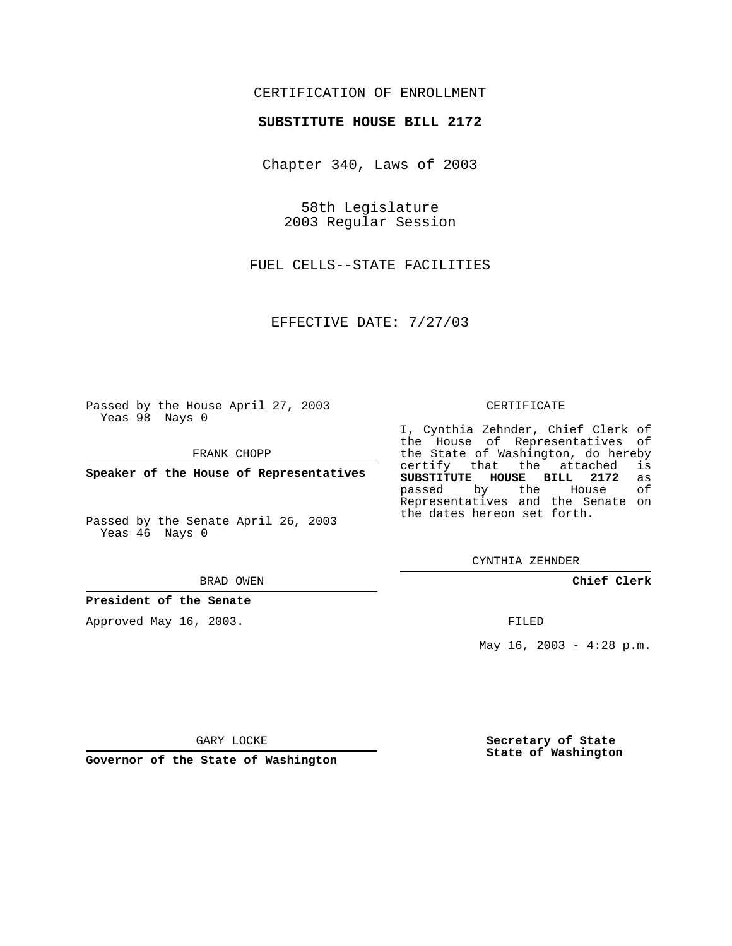# CERTIFICATION OF ENROLLMENT

## **SUBSTITUTE HOUSE BILL 2172**

Chapter 340, Laws of 2003

58th Legislature 2003 Regular Session

FUEL CELLS--STATE FACILITIES

EFFECTIVE DATE: 7/27/03

Passed by the House April 27, 2003 Yeas 98 Nays 0

FRANK CHOPP

**Speaker of the House of Representatives**

Passed by the Senate April 26, 2003 Yeas 46 Nays 0

#### BRAD OWEN

**President of the Senate**

Approved May 16, 2003.

#### CERTIFICATE

I, Cynthia Zehnder, Chief Clerk of the House of Representatives of the State of Washington, do hereby<br>certify that the attached is certify that the attached **SUBSTITUTE HOUSE BILL 2172** as passed by the House Representatives and the Senate on the dates hereon set forth.

CYNTHIA ZEHNDER

**Chief Clerk**

FILED

May  $16$ ,  $2003 - 4:28$  p.m.

GARY LOCKE

**Governor of the State of Washington**

**Secretary of State State of Washington**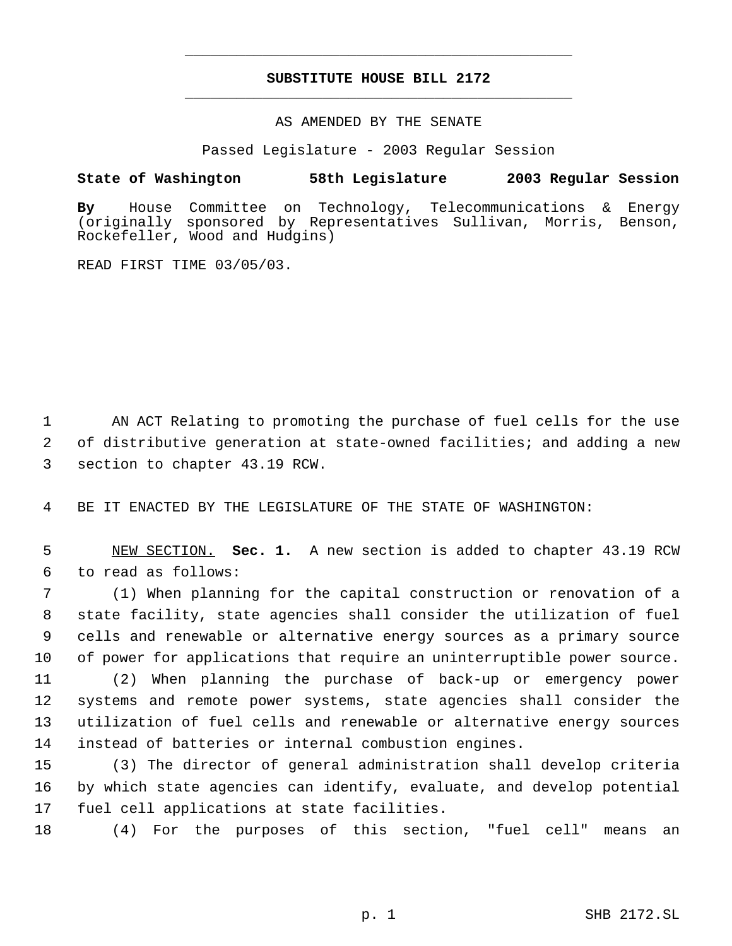# **SUBSTITUTE HOUSE BILL 2172** \_\_\_\_\_\_\_\_\_\_\_\_\_\_\_\_\_\_\_\_\_\_\_\_\_\_\_\_\_\_\_\_\_\_\_\_\_\_\_\_\_\_\_\_\_

\_\_\_\_\_\_\_\_\_\_\_\_\_\_\_\_\_\_\_\_\_\_\_\_\_\_\_\_\_\_\_\_\_\_\_\_\_\_\_\_\_\_\_\_\_

### AS AMENDED BY THE SENATE

Passed Legislature - 2003 Regular Session

## **State of Washington 58th Legislature 2003 Regular Session**

**By** House Committee on Technology, Telecommunications & Energy (originally sponsored by Representatives Sullivan, Morris, Benson, Rockefeller, Wood and Hudgins)

READ FIRST TIME 03/05/03.

 AN ACT Relating to promoting the purchase of fuel cells for the use of distributive generation at state-owned facilities; and adding a new section to chapter 43.19 RCW.

BE IT ENACTED BY THE LEGISLATURE OF THE STATE OF WASHINGTON:

 NEW SECTION. **Sec. 1.** A new section is added to chapter 43.19 RCW to read as follows:

 (1) When planning for the capital construction or renovation of a state facility, state agencies shall consider the utilization of fuel cells and renewable or alternative energy sources as a primary source of power for applications that require an uninterruptible power source.

 (2) When planning the purchase of back-up or emergency power systems and remote power systems, state agencies shall consider the utilization of fuel cells and renewable or alternative energy sources instead of batteries or internal combustion engines.

 (3) The director of general administration shall develop criteria by which state agencies can identify, evaluate, and develop potential fuel cell applications at state facilities.

(4) For the purposes of this section, "fuel cell" means an